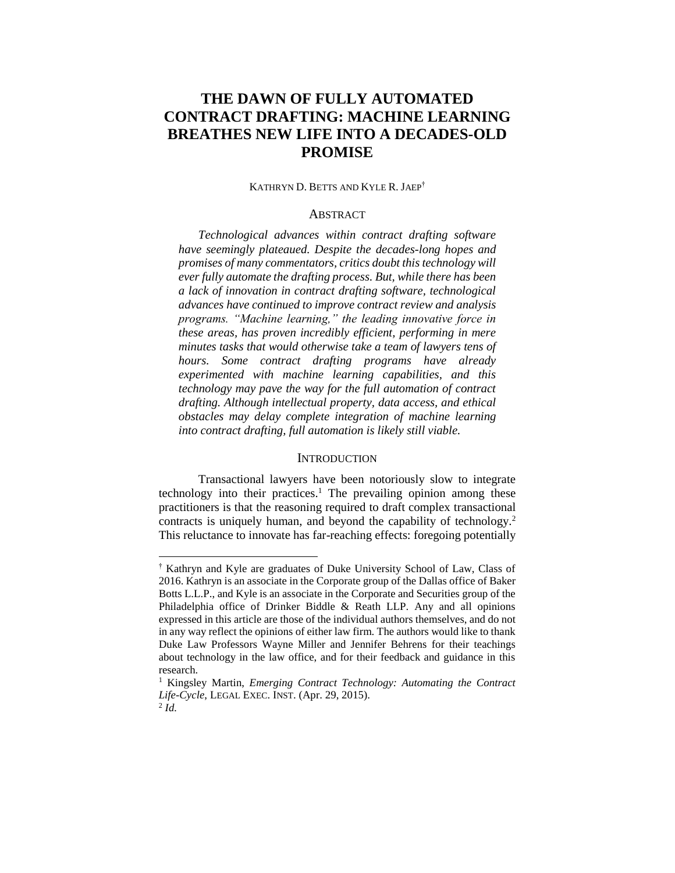# **THE DAWN OF FULLY AUTOMATED CONTRACT DRAFTING: MACHINE LEARNING BREATHES NEW LIFE INTO A DECADES-OLD PROMISE**

KATHRYN D. BETTS AND KYLE R. JAEP†

#### **ABSTRACT**

*Technological advances within contract drafting software have seemingly plateaued. Despite the decades-long hopes and promises of many commentators, critics doubt this technology will ever fully automate the drafting process. But, while there has been a lack of innovation in contract drafting software, technological advances have continued to improve contract review and analysis programs. "Machine learning," the leading innovative force in these areas, has proven incredibly efficient, performing in mere minutes tasks that would otherwise take a team of lawyers tens of hours. Some contract drafting programs have already experimented with machine learning capabilities, and this technology may pave the way for the full automation of contract drafting. Although intellectual property, data access, and ethical obstacles may delay complete integration of machine learning into contract drafting, full automation is likely still viable.*

#### **INTRODUCTION**

Transactional lawyers have been notoriously slow to integrate technology into their practices.<sup>1</sup> The prevailing opinion among these practitioners is that the reasoning required to draft complex transactional contracts is uniquely human, and beyond the capability of technology.<sup>2</sup> This reluctance to innovate has far-reaching effects: foregoing potentially

<sup>†</sup> Kathryn and Kyle are graduates of Duke University School of Law, Class of 2016. Kathryn is an associate in the Corporate group of the Dallas office of Baker Botts L.L.P., and Kyle is an associate in the Corporate and Securities group of the Philadelphia office of Drinker Biddle & Reath LLP. Any and all opinions expressed in this article are those of the individual authors themselves, and do not in any way reflect the opinions of either law firm. The authors would like to thank Duke Law Professors Wayne Miller and Jennifer Behrens for their teachings about technology in the law office, and for their feedback and guidance in this research.

<sup>1</sup> Kingsley Martin, *Emerging Contract Technology: Automating the Contract Life-Cycle*, LEGAL EXEC. INST. (Apr. 29, 2015). 2 *Id.*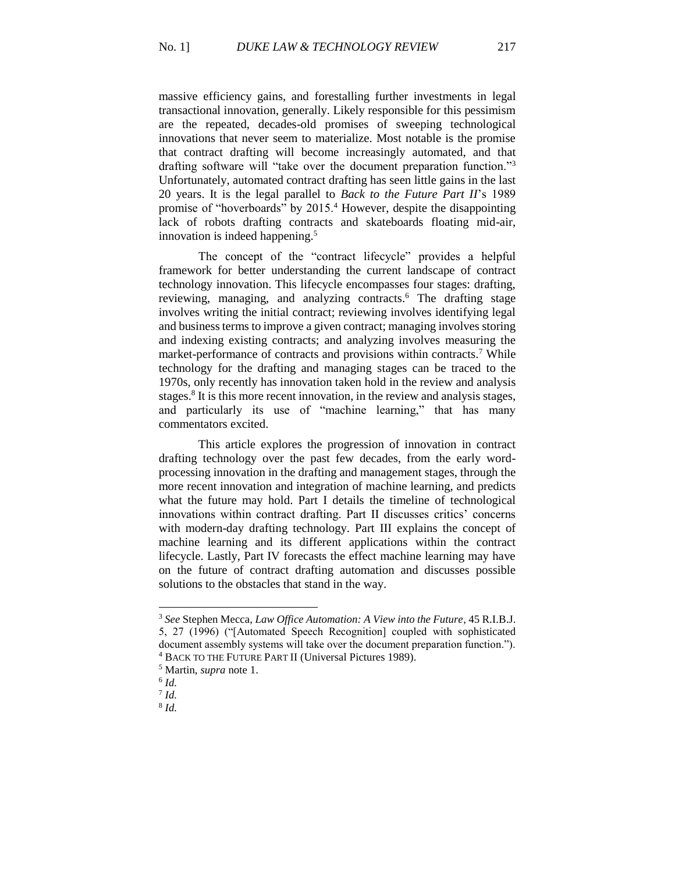massive efficiency gains, and forestalling further investments in legal transactional innovation, generally. Likely responsible for this pessimism are the repeated, decades-old promises of sweeping technological innovations that never seem to materialize. Most notable is the promise that contract drafting will become increasingly automated, and that drafting software will "take over the document preparation function."<sup>3</sup> Unfortunately, automated contract drafting has seen little gains in the last 20 years. It is the legal parallel to *Back to the Future Part II*'s 1989 promise of "hoverboards" by 2015.<sup>4</sup> However, despite the disappointing lack of robots drafting contracts and skateboards floating mid-air, innovation is indeed happening.<sup>5</sup>

The concept of the "contract lifecycle" provides a helpful framework for better understanding the current landscape of contract technology innovation. This lifecycle encompasses four stages: drafting, reviewing, managing, and analyzing contracts.<sup>6</sup> The drafting stage involves writing the initial contract; reviewing involves identifying legal and business terms to improve a given contract; managing involves storing and indexing existing contracts; and analyzing involves measuring the market-performance of contracts and provisions within contracts.<sup>7</sup> While technology for the drafting and managing stages can be traced to the 1970s, only recently has innovation taken hold in the review and analysis stages.<sup>8</sup> It is this more recent innovation, in the review and analysis stages, and particularly its use of "machine learning," that has many commentators excited.

This article explores the progression of innovation in contract drafting technology over the past few decades, from the early wordprocessing innovation in the drafting and management stages, through the more recent innovation and integration of machine learning, and predicts what the future may hold. Part I details the timeline of technological innovations within contract drafting. Part II discusses critics' concerns with modern-day drafting technology. Part III explains the concept of machine learning and its different applications within the contract lifecycle. Lastly, Part IV forecasts the effect machine learning may have on the future of contract drafting automation and discusses possible solutions to the obstacles that stand in the way.

l

8 *Id.*

<sup>3</sup> *See* Stephen Mecca, *Law Office Automation: A View into the Future*, 45 R.I.B.J. 5, 27 (1996) ("[Automated Speech Recognition] coupled with sophisticated document assembly systems will take over the document preparation function.").

<sup>4</sup> BACK TO THE FUTURE PART II (Universal Pictures 1989).

<sup>5</sup> Martin, *supra* note 1.

<sup>6</sup> *Id.*

<sup>7</sup> *Id.*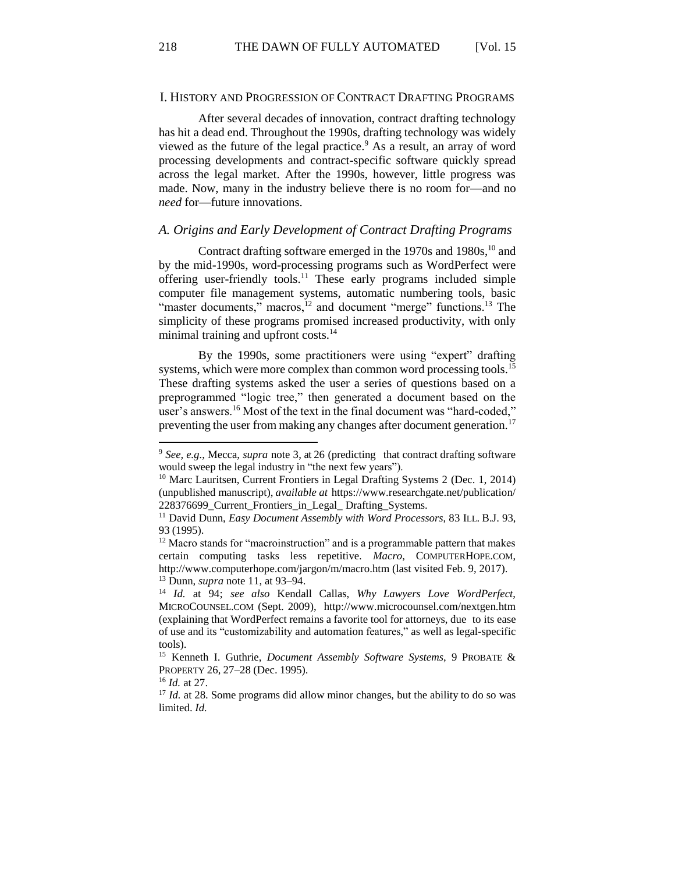218 THE DAWN OF FULLY AUTOMATED [Vol. 15]

#### I. HISTORY AND PROGRESSION OF CONTRACT DRAFTING PROGRAMS

After several decades of innovation, contract drafting technology has hit a dead end. Throughout the 1990s, drafting technology was widely viewed as the future of the legal practice. $9$  As a result, an array of word processing developments and contract-specific software quickly spread across the legal market. After the 1990s, however, little progress was made. Now, many in the industry believe there is no room for—and no *need* for—future innovations.

### *A. Origins and Early Development of Contract Drafting Programs*

Contract drafting software emerged in the  $1970s$  and  $1980s$ ,<sup>10</sup> and by the mid-1990s, word-processing programs such as WordPerfect were offering user-friendly tools.<sup>11</sup> These early programs included simple computer file management systems, automatic numbering tools, basic "master documents," macros,<sup>12</sup> and document "merge" functions.<sup>13</sup> The simplicity of these programs promised increased productivity, with only minimal training and upfront costs.<sup>14</sup>

By the 1990s, some practitioners were using "expert" drafting systems, which were more complex than common word processing tools.<sup>15</sup> These drafting systems asked the user a series of questions based on a preprogrammed "logic tree," then generated a document based on the user's answers.<sup>16</sup> Most of the text in the final document was "hard-coded," preventing the user from making any changes after document generation.<sup>17</sup>

<sup>9</sup> *See, e.g.*, Mecca, *supra* note 3, at 26 (predicting that contract drafting software would sweep the legal industry in "the next few years").

<sup>&</sup>lt;sup>10</sup> Marc Lauritsen, Current Frontiers in Legal Drafting Systems 2 (Dec. 1, 2014) (unpublished manuscript), *available at* https://www.researchgate.net/publication/ 228376699\_Current\_Frontiers\_in\_Legal\_ Drafting\_Systems.

<sup>11</sup> David Dunn, *Easy Document Assembly with Word Processors*, 83 ILL. B.J. 93, 93 (1995).

 $12$  Macro stands for "macroinstruction" and is a programmable pattern that makes certain computing tasks less repetitive. *Macro*, COMPUTERHOPE.COM, http://www.computerhope.com/jargon/m/macro.htm (last visited Feb. 9, 2017). <sup>13</sup> Dunn, *supra* note 11, at 93–94.

<sup>14</sup> *Id.* at 94; *see also* Kendall Callas, *Why Lawyers Love WordPerfect*, MICROCOUNSEL.COM (Sept. 2009), http://www.microcounsel.com/nextgen.htm (explaining that WordPerfect remains a favorite tool for attorneys, due to its ease of use and its "customizability and automation features," as well as legal-specific tools).

<sup>15</sup> Kenneth I. Guthrie, *Document Assembly Software Systems*, 9 PROBATE & PROPERTY 26, 27–28 (Dec. 1995).

<sup>16</sup> *Id.* at 27.

<sup>&</sup>lt;sup>17</sup> *Id.* at 28. Some programs did allow minor changes, but the ability to do so was limited. *Id.*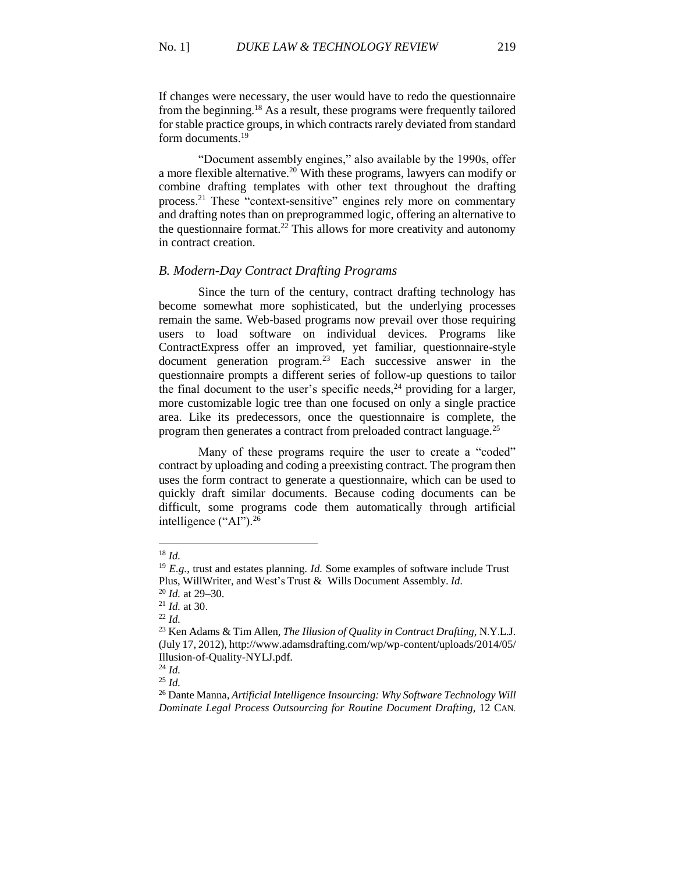If changes were necessary, the user would have to redo the questionnaire from the beginning.<sup>18</sup> As a result, these programs were frequently tailored for stable practice groups, in which contracts rarely deviated from standard form documents.<sup>19</sup>

"Document assembly engines," also available by the 1990s, offer a more flexible alternative.<sup>20</sup> With these programs, lawyers can modify or combine drafting templates with other text throughout the drafting process.<sup>21</sup> These "context-sensitive" engines rely more on commentary and drafting notes than on preprogrammed logic, offering an alternative to the questionnaire format.<sup>22</sup> This allows for more creativity and autonomy in contract creation.

### *B. Modern-Day Contract Drafting Programs*

Since the turn of the century, contract drafting technology has become somewhat more sophisticated, but the underlying processes remain the same. Web-based programs now prevail over those requiring users to load software on individual devices. Programs like ContractExpress offer an improved, yet familiar, questionnaire-style document generation program.<sup>23</sup> Each successive answer in the questionnaire prompts a different series of follow-up questions to tailor the final document to the user's specific needs, $24$  providing for a larger, more customizable logic tree than one focused on only a single practice area. Like its predecessors, once the questionnaire is complete, the program then generates a contract from preloaded contract language.<sup>25</sup>

Many of these programs require the user to create a "coded" contract by uploading and coding a preexisting contract. The program then uses the form contract to generate a questionnaire, which can be used to quickly draft similar documents. Because coding documents can be difficult, some programs code them automatically through artificial intelligence ("AI").<sup>26</sup>

<sup>18</sup> *Id.*

<sup>19</sup> *E.g.*, trust and estates planning. *Id.* Some examples of software include Trust Plus, WillWriter, and West's Trust & Wills Document Assembly. *Id.*

<sup>20</sup> *Id.* at 29–30.

<sup>21</sup> *Id.* at 30.

<sup>22</sup> *Id.*

<sup>23</sup> Ken Adams & Tim Allen, *The Illusion of Quality in Contract Drafting*, N.Y.L.J. (July 17, 2012), http://www.adamsdrafting.com/wp/wp-content/uploads/2014/05/ Illusion-of-Quality-NYLJ.pdf.

<sup>24</sup> *Id.* <sup>25</sup> *Id.*

<sup>26</sup> Dante Manna, *Artificial Intelligence Insourcing: Why Software Technology Will Dominate Legal Process Outsourcing for Routine Document Drafting*, 12 CAN.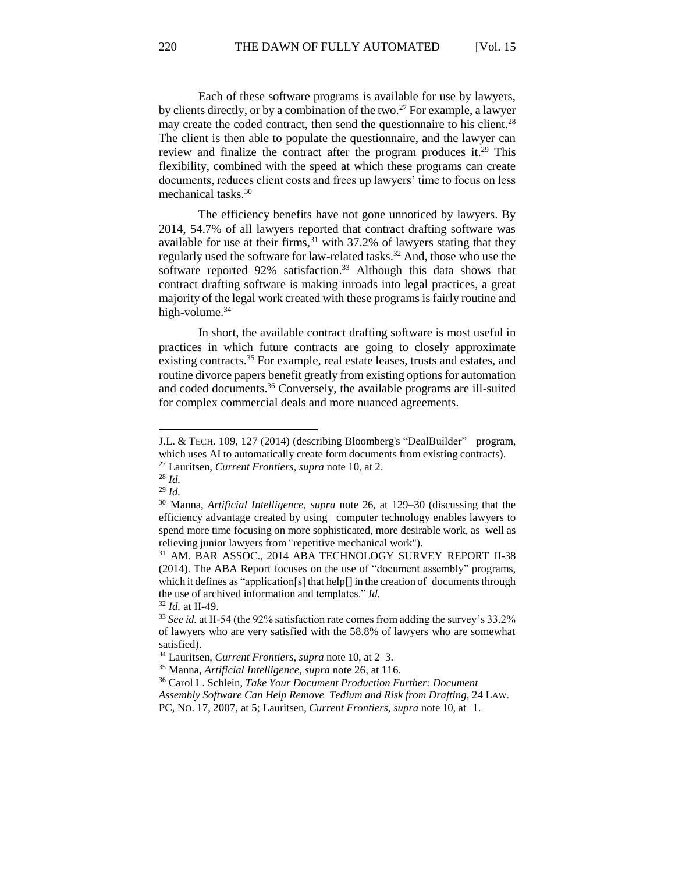Each of these software programs is available for use by lawyers, by clients directly, or by a combination of the two.<sup>27</sup> For example, a lawyer may create the coded contract, then send the questionnaire to his client.<sup>28</sup> The client is then able to populate the questionnaire, and the lawyer can review and finalize the contract after the program produces it.<sup>29</sup> This flexibility, combined with the speed at which these programs can create documents, reduces client costs and frees up lawyers' time to focus on less mechanical tasks.<sup>30</sup>

The efficiency benefits have not gone unnoticed by lawyers. By 2014, 54.7% of all lawyers reported that contract drafting software was available for use at their firms,  $31$  with 37.2% of lawyers stating that they regularly used the software for law-related tasks.<sup>32</sup> And, those who use the software reported 92% satisfaction.<sup>33</sup> Although this data shows that contract drafting software is making inroads into legal practices, a great majority of the legal work created with these programs is fairly routine and high-volume.<sup>34</sup>

In short, the available contract drafting software is most useful in practices in which future contracts are going to closely approximate existing contracts.<sup>35</sup> For example, real estate leases, trusts and estates, and routine divorce papers benefit greatly from existing options for automation and coded documents.<sup>36</sup> Conversely, the available programs are ill-suited for complex commercial deals and more nuanced agreements.

<sup>28</sup> *Id.* <sup>29</sup> *Id.*

l

<sup>32</sup> *Id.* at II-49.

J.L. & TECH. 109, 127 (2014) (describing Bloomberg's "DealBuilder" program, which uses AI to automatically create form documents from existing contracts).

<sup>27</sup> Lauritsen, *Current Frontiers*, *supra* note 10, at 2.

<sup>30</sup> Manna, *Artificial Intelligence*, *supra* note 26, at 129–30 (discussing that the efficiency advantage created by using computer technology enables lawyers to spend more time focusing on more sophisticated, more desirable work, as well as relieving junior lawyers from "repetitive mechanical work").

<sup>31</sup> AM. BAR ASSOC., 2014 ABA TECHNOLOGY SURVEY REPORT II-38 (2014). The ABA Report focuses on the use of "document assembly" programs, which it defines as "application[s] that help[] in the creation of documents through the use of archived information and templates." *Id.*

<sup>&</sup>lt;sup>33</sup> See id. at II-54 (the 92% satisfaction rate comes from adding the survey's 33.2% of lawyers who are very satisfied with the 58.8% of lawyers who are somewhat satisfied).

<sup>34</sup> Lauritsen, *Current Frontiers*, *supra* note 10, at 2–3.

<sup>35</sup> Manna, *Artificial Intelligence*, *supra* note 26, at 116.

<sup>36</sup> Carol L. Schlein, *Take Your Document Production Further: Document*

*Assembly Software Can Help Remove Tedium and Risk from Drafting*, 24 LAW.

PC, NO. 17, 2007, at 5; Lauritsen, *Current Frontiers*, *supra* note 10, at 1.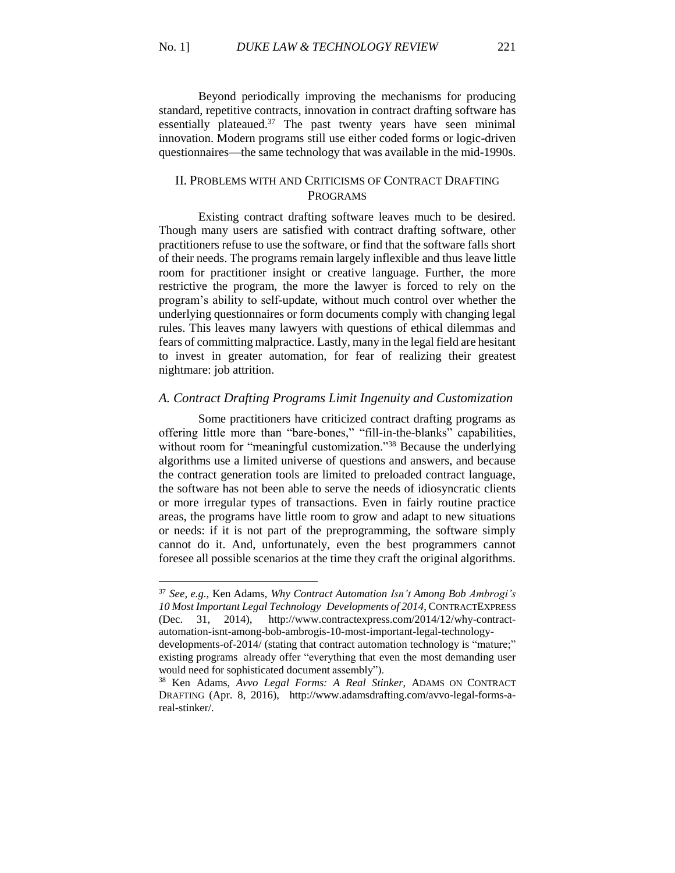Beyond periodically improving the mechanisms for producing standard, repetitive contracts, innovation in contract drafting software has essentially plateaued. $37$  The past twenty years have seen minimal innovation. Modern programs still use either coded forms or logic-driven questionnaires—the same technology that was available in the mid-1990s.

### II. PROBLEMS WITH AND CRITICISMS OF CONTRACT DRAFTING PROGRAMS

Existing contract drafting software leaves much to be desired. Though many users are satisfied with contract drafting software, other practitioners refuse to use the software, or find that the software falls short of their needs. The programs remain largely inflexible and thus leave little room for practitioner insight or creative language. Further, the more restrictive the program, the more the lawyer is forced to rely on the program's ability to self-update, without much control over whether the underlying questionnaires or form documents comply with changing legal rules. This leaves many lawyers with questions of ethical dilemmas and fears of committing malpractice. Lastly, many in the legal field are hesitant to invest in greater automation, for fear of realizing their greatest nightmare: job attrition.

#### *A. Contract Drafting Programs Limit Ingenuity and Customization*

Some practitioners have criticized contract drafting programs as offering little more than "bare-bones," "fill-in-the-blanks" capabilities, without room for "meaningful customization."<sup>38</sup> Because the underlying algorithms use a limited universe of questions and answers, and because the contract generation tools are limited to preloaded contract language, the software has not been able to serve the needs of idiosyncratic clients or more irregular types of transactions. Even in fairly routine practice areas, the programs have little room to grow and adapt to new situations or needs: if it is not part of the preprogramming, the software simply cannot do it. And, unfortunately, even the best programmers cannot foresee all possible scenarios at the time they craft the original algorithms.

 $\overline{a}$ 

<sup>37</sup> *See, e.g.*, Ken Adams, *Why Contract Automation Isn't Among Bob Ambrogi's 10 Most Important Legal Technology Developments of 2014*, CONTRACTEXPRESS (Dec. 31, 2014), http://www.contractexpress.com/2014/12/why-contractautomation-isnt-among-bob-ambrogis-10-most-important-legal-technology-

developments-of-2014/ (stating that contract automation technology is "mature;" existing programs already offer "everything that even the most demanding user would need for sophisticated document assembly").

<sup>38</sup> Ken Adams, *Avvo Legal Forms: A Real Stinker*, ADAMS ON CONTRACT DRAFTING (Apr. 8, 2016), http://www.adamsdrafting.com/avvo-legal-forms-areal-stinker/.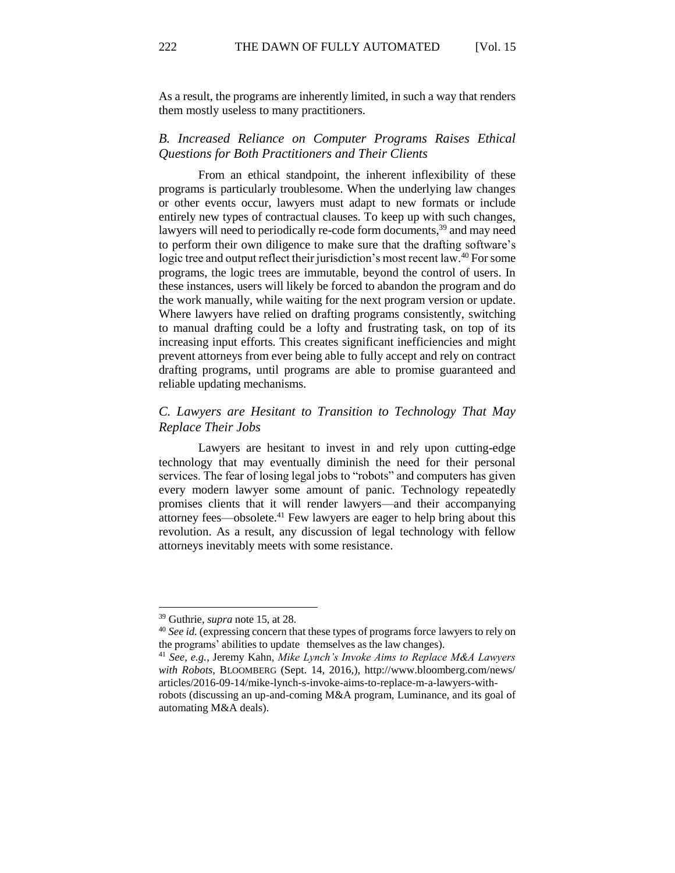As a result, the programs are inherently limited, in such a way that renders them mostly useless to many practitioners.

### *B. Increased Reliance on Computer Programs Raises Ethical Questions for Both Practitioners and Their Clients*

From an ethical standpoint, the inherent inflexibility of these programs is particularly troublesome. When the underlying law changes or other events occur, lawyers must adapt to new formats or include entirely new types of contractual clauses. To keep up with such changes, lawyers will need to periodically re-code form documents,<sup>39</sup> and may need to perform their own diligence to make sure that the drafting software's logic tree and output reflect their jurisdiction's most recent law.<sup>40</sup> For some programs, the logic trees are immutable, beyond the control of users. In these instances, users will likely be forced to abandon the program and do the work manually, while waiting for the next program version or update. Where lawyers have relied on drafting programs consistently, switching to manual drafting could be a lofty and frustrating task, on top of its increasing input efforts. This creates significant inefficiencies and might prevent attorneys from ever being able to fully accept and rely on contract drafting programs, until programs are able to promise guaranteed and reliable updating mechanisms.

# *C. Lawyers are Hesitant to Transition to Technology That May Replace Their Jobs*

Lawyers are hesitant to invest in and rely upon cutting-edge technology that may eventually diminish the need for their personal services. The fear of losing legal jobs to "robots" and computers has given every modern lawyer some amount of panic. Technology repeatedly promises clients that it will render lawyers—and their accompanying attorney fees—obsolete. $41$  Few lawyers are eager to help bring about this revolution. As a result, any discussion of legal technology with fellow attorneys inevitably meets with some resistance.

<sup>39</sup> Guthrie, *supra* note 15, at 28.

<sup>40</sup> *See id.* (expressing concern that these types of programs force lawyers to rely on the programs' abilities to update themselves as the law changes).

<sup>41</sup> *See, e.g.*, Jeremy Kahn, *Mike Lynch's Invoke Aims to Replace M&A Lawyers with Robots*, BLOOMBERG (Sept. 14, 2016,), http://www.bloomberg.com/news/ articles/2016-09-14/mike-lynch-s-invoke-aims-to-replace-m-a-lawyers-withrobots (discussing an up-and-coming M&A program, Luminance, and its goal of automating M&A deals).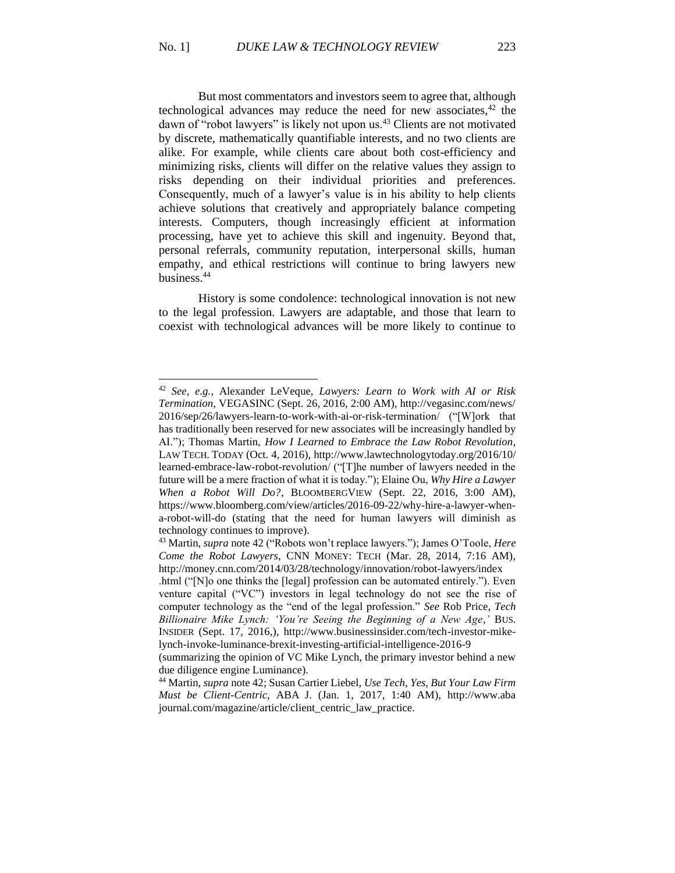But most commentators and investors seem to agree that, although technological advances may reduce the need for new associates, $42$  the dawn of "robot lawyers" is likely not upon us.<sup>43</sup> Clients are not motivated by discrete, mathematically quantifiable interests, and no two clients are alike. For example, while clients care about both cost-efficiency and minimizing risks, clients will differ on the relative values they assign to risks depending on their individual priorities and preferences. Consequently, much of a lawyer's value is in his ability to help clients achieve solutions that creatively and appropriately balance competing interests. Computers, though increasingly efficient at information processing, have yet to achieve this skill and ingenuity. Beyond that, personal referrals, community reputation, interpersonal skills, human empathy, and ethical restrictions will continue to bring lawyers new business.<sup>44</sup>

History is some condolence: technological innovation is not new to the legal profession. Lawyers are adaptable, and those that learn to coexist with technological advances will be more likely to continue to

 $\overline{a}$ 

<sup>42</sup> *See, e.g.*, Alexander LeVeque, *Lawyers: Learn to Work with AI or Risk Termination*, VEGASINC (Sept. 26, 2016, 2:00 AM), http://vegasinc.com/news/ 2016/sep/26/lawyers-learn-to-work-with-ai-or-risk-termination/ ("[W]ork that has traditionally been reserved for new associates will be increasingly handled by AI."); Thomas Martin, *How I Learned to Embrace the Law Robot Revolution*, LAW TECH. TODAY (Oct. 4, 2016), http://www.lawtechnologytoday.org/2016/10/ learned-embrace-law-robot-revolution/ ("[T]he number of lawyers needed in the future will be a mere fraction of what it is today."); Elaine Ou, *Why Hire a Lawyer When a Robot Will Do?*, BLOOMBERGVIEW (Sept. 22, 2016, 3:00 AM), https://www.bloomberg.com/view/articles/2016-09-22/why-hire-a-lawyer-whena-robot-will-do (stating that the need for human lawyers will diminish as technology continues to improve).

<sup>43</sup> Martin, *supra* note 42 ("Robots won't replace lawyers."); James O'Toole, *Here Come the Robot Lawyers*, CNN MONEY: TECH (Mar. 28, 2014, 7:16 AM), http://money.cnn.com/2014/03/28/technology/innovation/robot-lawyers/index

<sup>.</sup>html ("[N]o one thinks the [legal] profession can be automated entirely."). Even venture capital ("VC") investors in legal technology do not see the rise of computer technology as the "end of the legal profession." *See* Rob Price, *Tech Billionaire Mike Lynch: 'You're Seeing the Beginning of a New Age*,*'* BUS. INSIDER (Sept. 17, 2016,), http://www.businessinsider.com/tech-investor-mikelynch-invoke-luminance-brexit-investing-artificial-intelligence-2016-9

<sup>(</sup>summarizing the opinion of VC Mike Lynch, the primary investor behind a new due diligence engine Luminance).

<sup>44</sup> Martin, *supra* note 42; Susan Cartier Liebel, *Use Tech, Yes, But Your Law Firm Must be Client-Centric*, ABA J. (Jan. 1, 2017, 1:40 AM), http://www.aba journal.com/magazine/article/client\_centric\_law\_practice.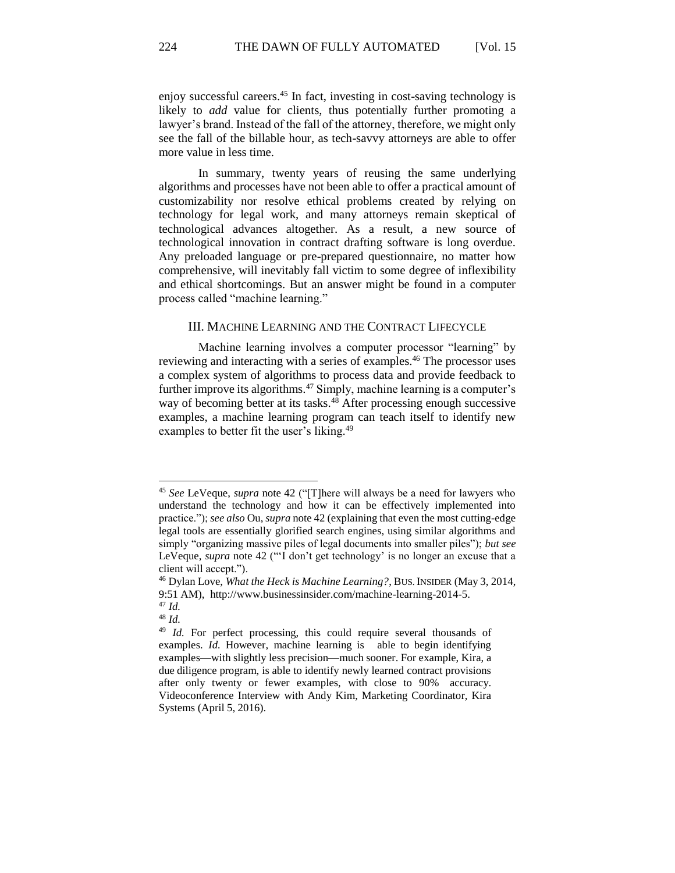enjoy successful careers.<sup>45</sup> In fact, investing in cost-saving technology is likely to *add* value for clients, thus potentially further promoting a lawyer's brand. Instead of the fall of the attorney, therefore, we might only see the fall of the billable hour, as tech-savvy attorneys are able to offer more value in less time.

In summary, twenty years of reusing the same underlying algorithms and processes have not been able to offer a practical amount of customizability nor resolve ethical problems created by relying on technology for legal work, and many attorneys remain skeptical of technological advances altogether. As a result, a new source of technological innovation in contract drafting software is long overdue. Any preloaded language or pre-prepared questionnaire, no matter how comprehensive, will inevitably fall victim to some degree of inflexibility and ethical shortcomings. But an answer might be found in a computer process called "machine learning."

### III. MACHINE LEARNING AND THE CONTRACT LIFECYCLE

Machine learning involves a computer processor "learning" by reviewing and interacting with a series of examples.<sup>46</sup> The processor uses a complex system of algorithms to process data and provide feedback to further improve its algorithms.<sup>47</sup> Simply, machine learning is a computer's way of becoming better at its tasks.<sup>48</sup> After processing enough successive examples, a machine learning program can teach itself to identify new examples to better fit the user's liking.<sup>49</sup>

l

<sup>48</sup> *Id.*

<sup>45</sup> *See* LeVeque, *supra* note 42 ("[T]here will always be a need for lawyers who understand the technology and how it can be effectively implemented into practice."); *see also* Ou, *supra* note 42 (explaining that even the most cutting-edge legal tools are essentially glorified search engines, using similar algorithms and simply "organizing massive piles of legal documents into smaller piles"); *but see* LeVeque, *supra* note 42 ("'I don't get technology' is no longer an excuse that a client will accept.").

<sup>46</sup> Dylan Love, *What the Heck is Machine Learning?*, BUS. INSIDER (May 3, 2014, 9:51 AM), http://www.businessinsider.com/machine-learning-2014-5.

<sup>47</sup> *Id.*

<sup>&</sup>lt;sup>49</sup> *Id.* For perfect processing, this could require several thousands of examples. *Id.* However, machine learning is able to begin identifying examples—with slightly less precision—much sooner. For example, Kira, a due diligence program, is able to identify newly learned contract provisions after only twenty or fewer examples, with close to 90% accuracy. Videoconference Interview with Andy Kim, Marketing Coordinator, Kira Systems (April 5, 2016).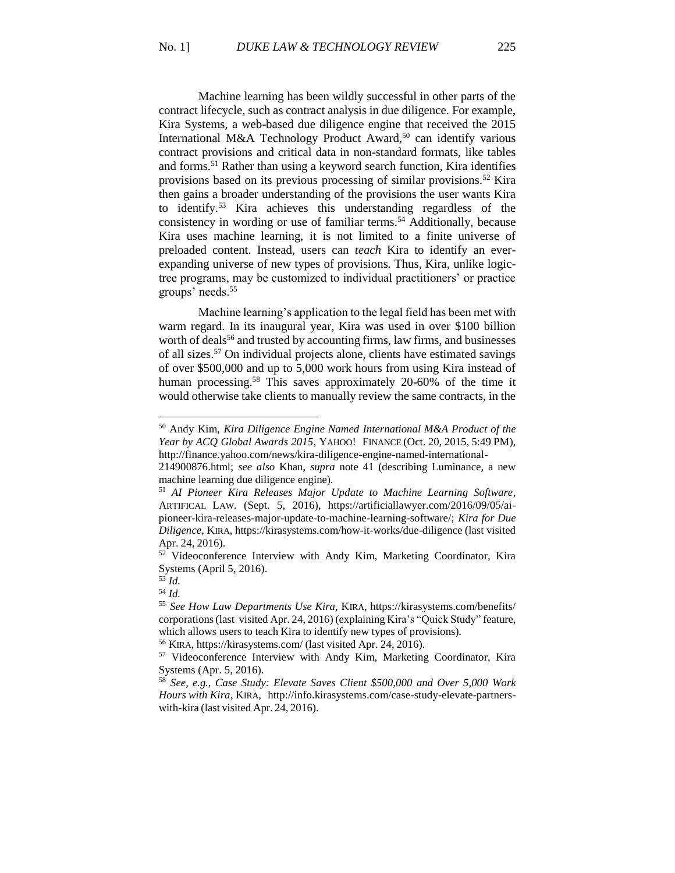Machine learning has been wildly successful in other parts of the contract lifecycle, such as contract analysis in due diligence. For example, Kira Systems, a web-based due diligence engine that received the 2015 International M&A Technology Product Award,<sup>50</sup> can identify various contract provisions and critical data in non-standard formats, like tables and forms.<sup>51</sup> Rather than using a keyword search function, Kira identifies provisions based on its previous processing of similar provisions.<sup>52</sup> Kira then gains a broader understanding of the provisions the user wants Kira to identify.<sup>53</sup> Kira achieves this understanding regardless of the consistency in wording or use of familiar terms.<sup>54</sup> Additionally, because Kira uses machine learning, it is not limited to a finite universe of preloaded content. Instead, users can *teach* Kira to identify an everexpanding universe of new types of provisions. Thus, Kira, unlike logictree programs, may be customized to individual practitioners' or practice groups' needs.<sup>55</sup>

Machine learning's application to the legal field has been met with warm regard. In its inaugural year, Kira was used in over \$100 billion worth of deals<sup>56</sup> and trusted by accounting firms, law firms, and businesses of all sizes.<sup>57</sup> On individual projects alone, clients have estimated savings of over \$500,000 and up to 5,000 work hours from using Kira instead of human processing.<sup>58</sup> This saves approximately 20-60% of the time it would otherwise take clients to manually review the same contracts, in the

<sup>50</sup> Andy Kim, *Kira Diligence Engine Named International M&A Product of the Year by ACQ Global Awards 2015*, YAHOO! FINANCE (Oct. 20, 2015, 5:49 PM), http://finance.yahoo.com/news/kira-diligence-engine-named-international-

<sup>214900876.</sup>html; *see also* Khan, *supra* note 41 (describing Luminance, a new machine learning due diligence engine).

<sup>51</sup> *AI Pioneer Kira Releases Major Update to Machine Learning Software*, ARTIFICAL LAW. (Sept. 5, 2016), https://artificiallawyer.com/2016/09/05/aipioneer-kira-releases-major-update-to-machine-learning-software/; *Kira for Due Diligence*, KIRA, https://kirasystems.com/how-it-works/due-diligence (last visited Apr. 24, 2016).

<sup>&</sup>lt;sup>52</sup> Videoconference Interview with Andy Kim, Marketing Coordinator, Kira Systems (April 5, 2016).

<sup>53</sup> *Id.*

<sup>54</sup> *Id.*

<sup>55</sup> *See How Law Departments Use Kira*, KIRA, https://kirasystems.com/benefits/ corporations(last visited Apr. 24, 2016) (explaining Kira's "Quick Study" feature, which allows users to teach Kira to identify new types of provisions).

<sup>56</sup> KIRA, https://kirasystems.com/ (last visited Apr. 24, 2016).

<sup>57</sup> Videoconference Interview with Andy Kim, Marketing Coordinator, Kira Systems (Apr. 5, 2016).

<sup>58</sup> *See, e.g.*, *Case Study: Elevate Saves Client \$500,000 and Over 5,000 Work Hours with Kira*, KIRA, http://info.kirasystems.com/case-study-elevate-partnerswith-kira (last visited Apr. 24, 2016).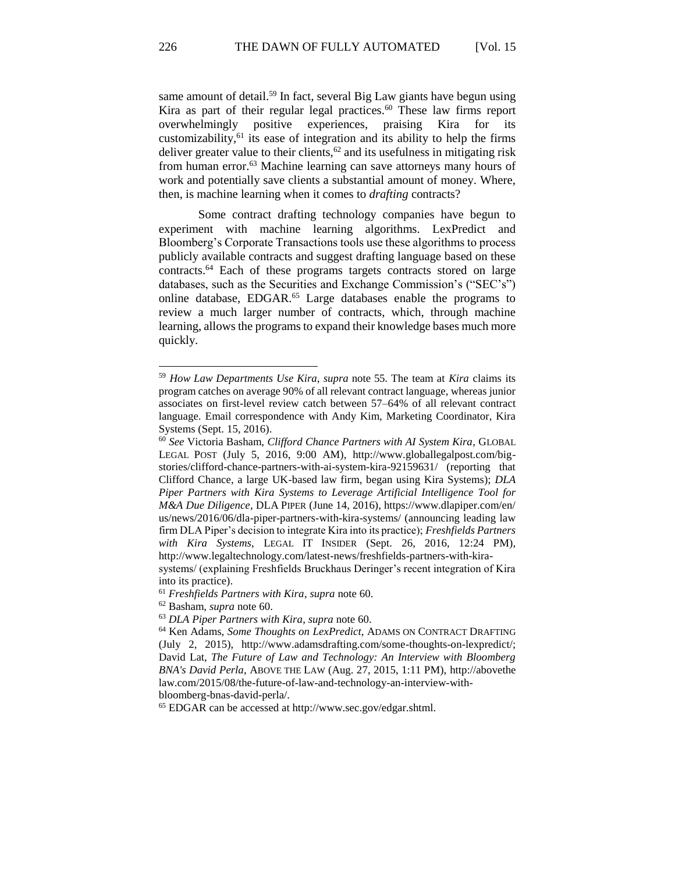same amount of detail.<sup>59</sup> In fact, several Big Law giants have begun using Kira as part of their regular legal practices.<sup>60</sup> These law firms report overwhelmingly positive experiences, praising Kira for its customizability, $61$  its ease of integration and its ability to help the firms deliver greater value to their clients,  $62$  and its usefulness in mitigating risk from human error.<sup>63</sup> Machine learning can save attorneys many hours of work and potentially save clients a substantial amount of money. Where, then, is machine learning when it comes to *drafting* contracts?

Some contract drafting technology companies have begun to experiment with machine learning algorithms. LexPredict and Bloomberg's Corporate Transactions tools use these algorithms to process publicly available contracts and suggest drafting language based on these contracts.<sup>64</sup> Each of these programs targets contracts stored on large databases, such as the Securities and Exchange Commission's ("SEC's") online database, EDGAR.<sup>65</sup> Large databases enable the programs to review a much larger number of contracts, which, through machine learning, allows the programs to expand their knowledge bases much more quickly.

<sup>59</sup> *How Law Departments Use Kira*, *supra* note 55. The team at *Kira* claims its program catches on average 90% of all relevant contract language, whereas junior associates on first-level review catch between 57–64% of all relevant contract language. Email correspondence with Andy Kim, Marketing Coordinator, Kira Systems (Sept. 15, 2016).

<sup>60</sup> *See* Victoria Basham, *Clifford Chance Partners with AI System Kira*, GLOBAL LEGAL POST (July 5, 2016, 9:00 AM), http://www.globallegalpost.com/bigstories/clifford-chance-partners-with-ai-system-kira-92159631/ (reporting that Clifford Chance, a large UK-based law firm, began using Kira Systems); *DLA Piper Partners with Kira Systems to Leverage Artificial Intelligence Tool for M&A Due Diligence*, DLA PIPER (June 14, 2016), https://www.dlapiper.com/en/ us/news/2016/06/dla-piper-partners-with-kira-systems/ (announcing leading law firm DLA Piper's decision to integrate Kira into its practice); *Freshfields Partners with Kira Systems*, LEGAL IT INSIDER (Sept. 26, 2016, 12:24 PM), http://www.legaltechnology.com/latest-news/freshfields-partners-with-kira-

systems/ (explaining Freshfields Bruckhaus Deringer's recent integration of Kira into its practice).

<sup>61</sup> *Freshfields Partners with Kira*, *supra* note 60.

<sup>62</sup> Basham, *supra* note 60.

<sup>63</sup> *DLA Piper Partners with Kira*, *supra* note 60.

<sup>64</sup> Ken Adams, *Some Thoughts on LexPredict*, ADAMS ON CONTRACT DRAFTING (July 2, 2015), http://www.adamsdrafting.com/some-thoughts-on-lexpredict/; David Lat, *The Future of Law and Technology: An Interview with Bloomberg BNA's David Perla*, ABOVE THE LAW (Aug. 27, 2015, 1:11 PM), http://abovethe law.com/2015/08/the-future-of-law-and-technology-an-interview-withbloomberg-bnas-david-perla/.

<sup>65</sup> EDGAR can be accessed at http://www.sec.gov/edgar.shtml.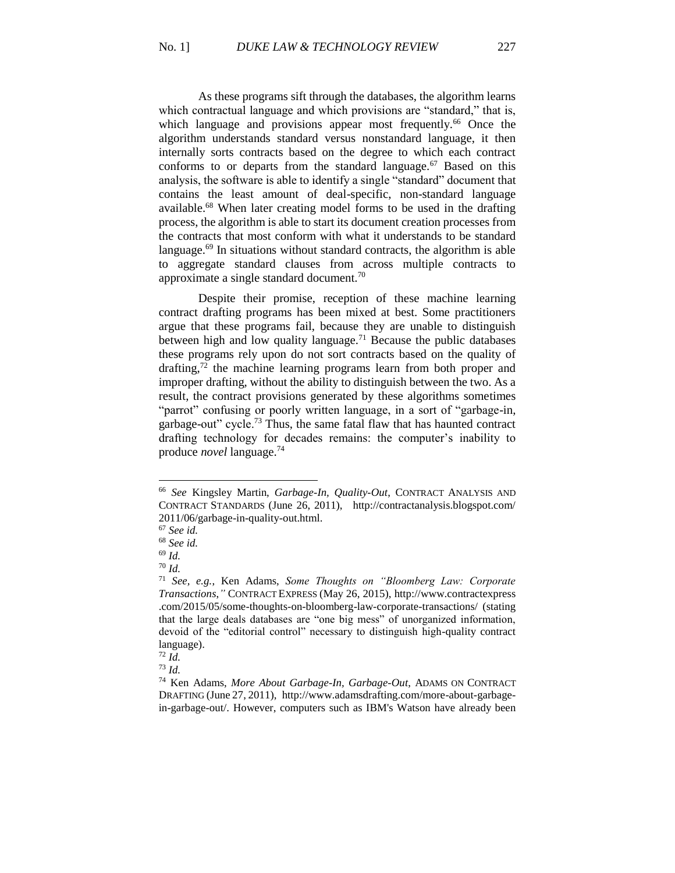As these programs sift through the databases, the algorithm learns which contractual language and which provisions are "standard," that is, which language and provisions appear most frequently.<sup>66</sup> Once the algorithm understands standard versus nonstandard language, it then internally sorts contracts based on the degree to which each contract conforms to or departs from the standard language.<sup>67</sup> Based on this analysis, the software is able to identify a single "standard" document that contains the least amount of deal-specific, non-standard language available.<sup>68</sup> When later creating model forms to be used in the drafting process, the algorithm is able to start its document creation processes from the contracts that most conform with what it understands to be standard language.<sup>69</sup> In situations without standard contracts, the algorithm is able to aggregate standard clauses from across multiple contracts to approximate a single standard document.<sup>70</sup>

Despite their promise, reception of these machine learning contract drafting programs has been mixed at best. Some practitioners argue that these programs fail, because they are unable to distinguish between high and low quality language.<sup>71</sup> Because the public databases these programs rely upon do not sort contracts based on the quality of drafting, $72$  the machine learning programs learn from both proper and improper drafting, without the ability to distinguish between the two. As a result, the contract provisions generated by these algorithms sometimes "parrot" confusing or poorly written language, in a sort of "garbage-in, garbage-out" cycle.<sup>73</sup> Thus, the same fatal flaw that has haunted contract drafting technology for decades remains: the computer's inability to produce *novel* language.<sup>74</sup>

<sup>66</sup> *See* Kingsley Martin, *Garbage-In, Quality-Out*, CONTRACT ANALYSIS AND CONTRACT STANDARDS (June 26, 2011), http://contractanalysis.blogspot.com/ 2011/06/garbage-in-quality-out.html.

<sup>67</sup> *See id.*

<sup>68</sup> *See id.*

<sup>69</sup> *Id.*

<sup>70</sup> *Id.*

<sup>71</sup> *See, e.g.*, Ken Adams, *Some Thoughts on "Bloomberg Law: Corporate Transactions*,*"* CONTRACT EXPRESS (May 26, 2015), http://www.contractexpress .com/2015/05/some-thoughts-on-bloomberg-law-corporate-transactions/ (stating that the large deals databases are "one big mess" of unorganized information, devoid of the "editorial control" necessary to distinguish high-quality contract language).

 $72 \tilde{Id}$ .

<sup>73</sup> *Id.* 

<sup>74</sup> Ken Adams, *More About Garbage-In, Garbage-Out*, ADAMS ON CONTRACT DRAFTING (June 27, 2011), http://www.adamsdrafting.com/more-about-garbagein-garbage-out/. However, computers such as IBM's Watson have already been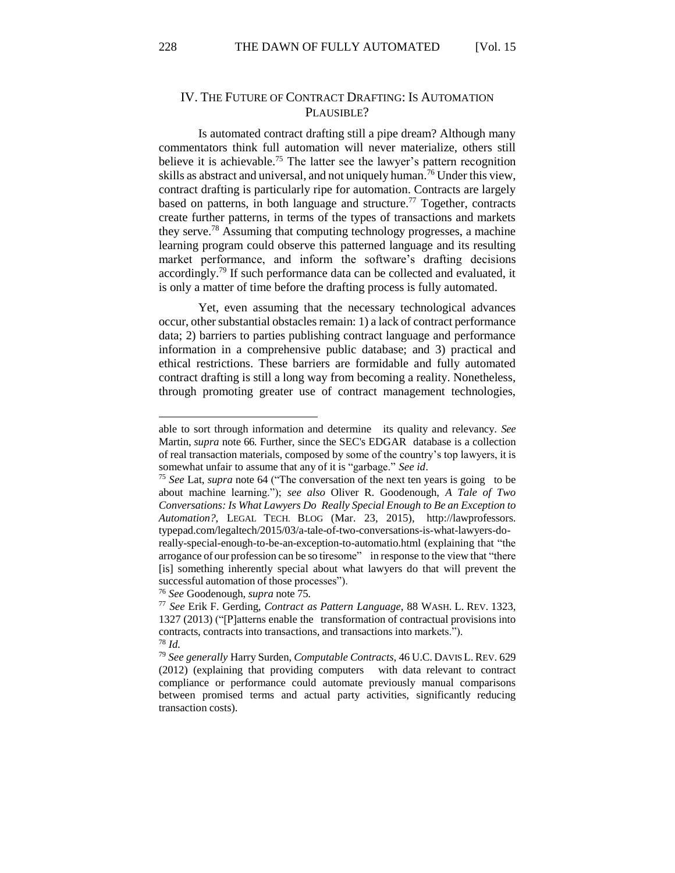### IV. THE FUTURE OF CONTRACT DRAFTING: IS AUTOMATION PLAUSIBLE?

Is automated contract drafting still a pipe dream? Although many commentators think full automation will never materialize, others still believe it is achievable.<sup>75</sup> The latter see the lawyer's pattern recognition skills as abstract and universal, and not uniquely human.<sup>76</sup> Under this view, contract drafting is particularly ripe for automation. Contracts are largely based on patterns, in both language and structure.<sup>77</sup> Together, contracts create further patterns, in terms of the types of transactions and markets they serve.<sup>78</sup> Assuming that computing technology progresses, a machine learning program could observe this patterned language and its resulting market performance, and inform the software's drafting decisions accordingly.<sup>79</sup> If such performance data can be collected and evaluated, it is only a matter of time before the drafting process is fully automated.

Yet, even assuming that the necessary technological advances occur, other substantial obstacles remain: 1) a lack of contract performance data; 2) barriers to parties publishing contract language and performance information in a comprehensive public database; and 3) practical and ethical restrictions. These barriers are formidable and fully automated contract drafting is still a long way from becoming a reality. Nonetheless, through promoting greater use of contract management technologies,

able to sort through information and determine its quality and relevancy. *See* Martin, *supra* note 66. Further, since the SEC's EDGAR database is a collection of real transaction materials, composed by some of the country's top lawyers, it is somewhat unfair to assume that any of it is "garbage." *See id*.

<sup>75</sup> *See* Lat, *supra* note 64 ("The conversation of the next ten years is going to be about machine learning."); *see also* Oliver R. Goodenough, *A Tale of Two Conversations: Is What Lawyers Do Really Special Enough to Be an Exception to Automation?*, LEGAL TECH. BLOG (Mar. 23, 2015), http://lawprofessors. typepad.com/legaltech/2015/03/a-tale-of-two-conversations-is-what-lawyers-do-

really-special-enough-to-be-an-exception-to-automatio.html (explaining that "the arrogance of our profession can be so tiresome" in response to the view that "there [is] something inherently special about what lawyers do that will prevent the successful automation of those processes").

<sup>76</sup> *See* Goodenough, *supra* note 75.

<sup>77</sup> *See* Erik F. Gerding, *Contract as Pattern Language*, 88 WASH. L. REV. 1323, 1327 (2013) ("[P]atterns enable the transformation of contractual provisions into contracts, contracts into transactions, and transactions into markets."). <sup>78</sup> *Id.*

<sup>79</sup> *See generally* Harry Surden, *Computable Contracts*, 46 U.C. DAVIS L. REV. 629 (2012) (explaining that providing computers with data relevant to contract compliance or performance could automate previously manual comparisons between promised terms and actual party activities, significantly reducing transaction costs).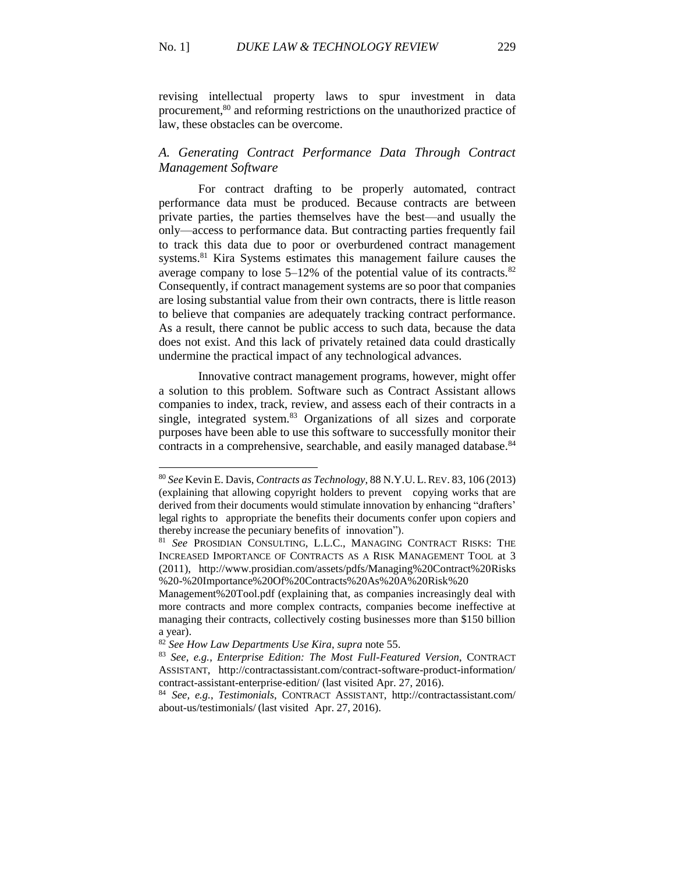revising intellectual property laws to spur investment in data procurement,<sup>80</sup> and reforming restrictions on the unauthorized practice of law, these obstacles can be overcome.

# *A. Generating Contract Performance Data Through Contract Management Software*

For contract drafting to be properly automated, contract performance data must be produced. Because contracts are between private parties, the parties themselves have the best—and usually the only—access to performance data. But contracting parties frequently fail to track this data due to poor or overburdened contract management systems.<sup>81</sup> Kira Systems estimates this management failure causes the average company to lose  $5-12\%$  of the potential value of its contracts.<sup>82</sup> Consequently, if contract management systems are so poor that companies are losing substantial value from their own contracts, there is little reason to believe that companies are adequately tracking contract performance. As a result, there cannot be public access to such data, because the data does not exist. And this lack of privately retained data could drastically undermine the practical impact of any technological advances.

Innovative contract management programs, however, might offer a solution to this problem. Software such as Contract Assistant allows companies to index, track, review, and assess each of their contracts in a single, integrated system.<sup>83</sup> Organizations of all sizes and corporate purposes have been able to use this software to successfully monitor their contracts in a comprehensive, searchable, and easily managed database.<sup>84</sup>

 $\overline{a}$ 

<sup>80</sup> *See* Kevin E. Davis, *Contracts as Technology*, 88 N.Y.U. L.REV. 83, 106 (2013) (explaining that allowing copyright holders to prevent copying works that are derived from their documents would stimulate innovation by enhancing "drafters' legal rights to appropriate the benefits their documents confer upon copiers and thereby increase the pecuniary benefits of innovation").

<sup>81</sup> *See* PROSIDIAN CONSULTING, L.L.C., MANAGING CONTRACT RISKS: THE INCREASED IMPORTANCE OF CONTRACTS AS A RISK MANAGEMENT TOOL at 3 (2011), http://www.prosidian.com/assets/pdfs/Managing%20Contract%20Risks %20-%20Importance%20Of%20Contracts%20As%20A%20Risk%20

Management%20Tool.pdf (explaining that, as companies increasingly deal with more contracts and more complex contracts, companies become ineffective at managing their contracts, collectively costing businesses more than \$150 billion a year).

<sup>82</sup> *See How Law Departments Use Kira*, *supra* note 55.

<sup>83</sup> *See, e.g.*, *Enterprise Edition: The Most Full-Featured Version*, CONTRACT ASSISTANT, http://contractassistant.com/contract-software-product-information/ contract-assistant-enterprise-edition/ (last visited Apr. 27, 2016).

<sup>84</sup> *See, e.g.*, *Testimonials*, CONTRACT ASSISTANT, http://contractassistant.com/ about-us/testimonials/ (last visited Apr. 27, 2016).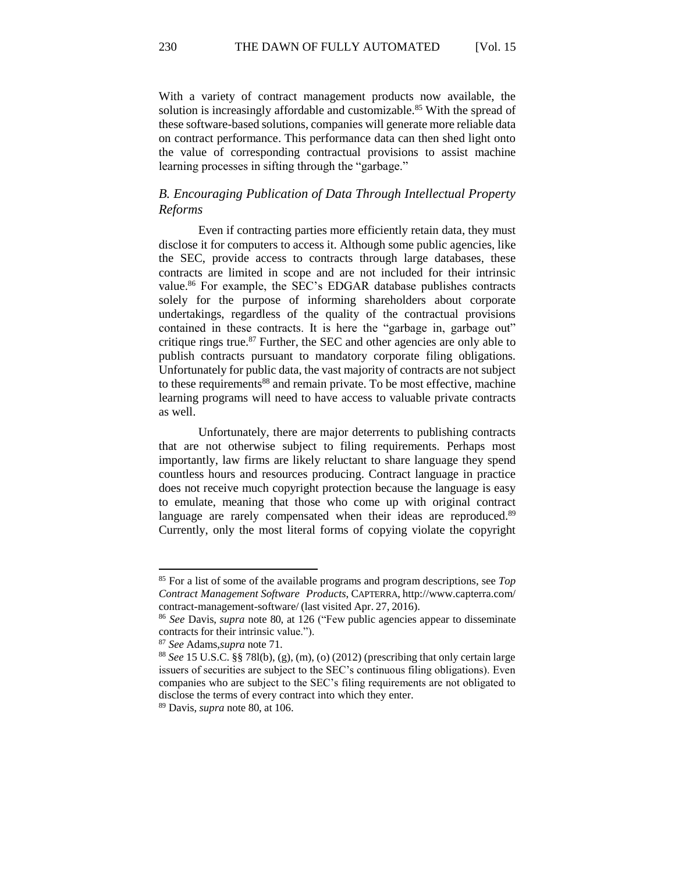With a variety of contract management products now available, the solution is increasingly affordable and customizable.<sup>85</sup> With the spread of these software-based solutions, companies will generate more reliable data on contract performance. This performance data can then shed light onto the value of corresponding contractual provisions to assist machine learning processes in sifting through the "garbage."

## *B. Encouraging Publication of Data Through Intellectual Property Reforms*

Even if contracting parties more efficiently retain data, they must disclose it for computers to access it. Although some public agencies, like the SEC, provide access to contracts through large databases, these contracts are limited in scope and are not included for their intrinsic value.<sup>86</sup> For example, the SEC's EDGAR database publishes contracts solely for the purpose of informing shareholders about corporate undertakings, regardless of the quality of the contractual provisions contained in these contracts. It is here the "garbage in, garbage out" critique rings true. $87$  Further, the SEC and other agencies are only able to publish contracts pursuant to mandatory corporate filing obligations. Unfortunately for public data, the vast majority of contracts are not subject to these requirements<sup>88</sup> and remain private. To be most effective, machine learning programs will need to have access to valuable private contracts as well.

Unfortunately, there are major deterrents to publishing contracts that are not otherwise subject to filing requirements. Perhaps most importantly, law firms are likely reluctant to share language they spend countless hours and resources producing. Contract language in practice does not receive much copyright protection because the language is easy to emulate, meaning that those who come up with original contract language are rarely compensated when their ideas are reproduced.<sup>89</sup> Currently, only the most literal forms of copying violate the copyright

<sup>85</sup> For a list of some of the available programs and program descriptions, see *Top Contract Management Software Products*, CAPTERRA, http://www.capterra.com/ contract-management-software/ (last visited Apr. 27, 2016).

<sup>86</sup> *See* Davis, *supra* note 80, at 126 ("Few public agencies appear to disseminate contracts for their intrinsic value.").

<sup>87</sup> *See* Adams,*supra* note 71.

<sup>88</sup> *See* 15 U.S.C. §§ 78l(b), (g), (m), (o) (2012) (prescribing that only certain large issuers of securities are subject to the SEC's continuous filing obligations). Even companies who are subject to the SEC's filing requirements are not obligated to disclose the terms of every contract into which they enter.

<sup>89</sup> Davis, *supra* note 80, at 106.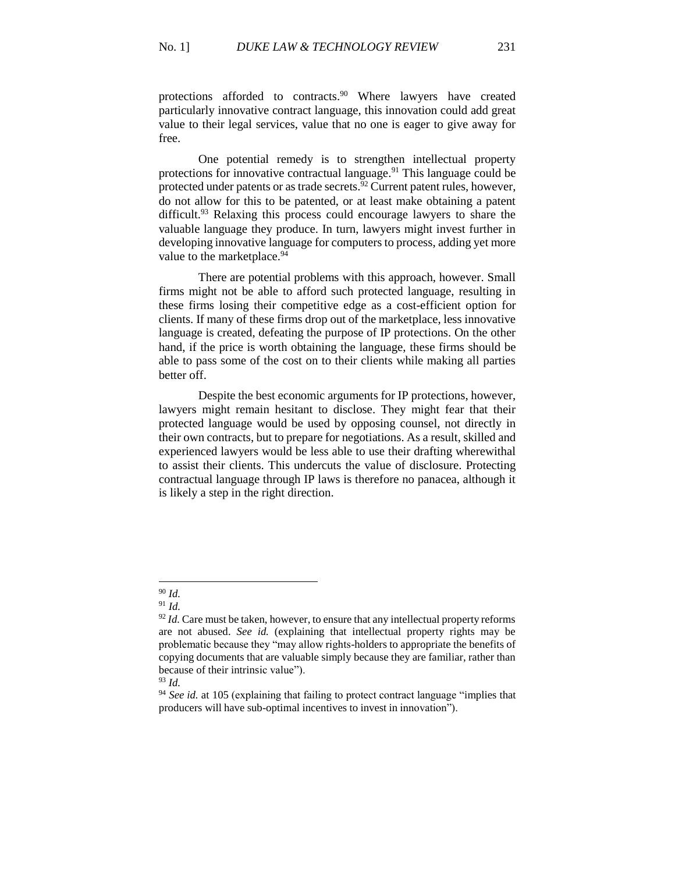protections afforded to contracts.<sup>90</sup> Where lawyers have created particularly innovative contract language, this innovation could add great value to their legal services, value that no one is eager to give away for free.

One potential remedy is to strengthen intellectual property protections for innovative contractual language.<sup>91</sup> This language could be protected under patents or as trade secrets.<sup>92</sup> Current patent rules, however, do not allow for this to be patented, or at least make obtaining a patent difficult.<sup>93</sup> Relaxing this process could encourage lawyers to share the valuable language they produce. In turn, lawyers might invest further in developing innovative language for computers to process, adding yet more value to the marketplace.<sup>94</sup>

There are potential problems with this approach, however. Small firms might not be able to afford such protected language, resulting in these firms losing their competitive edge as a cost-efficient option for clients. If many of these firms drop out of the marketplace, less innovative language is created, defeating the purpose of IP protections. On the other hand, if the price is worth obtaining the language, these firms should be able to pass some of the cost on to their clients while making all parties better off.

Despite the best economic arguments for IP protections, however, lawyers might remain hesitant to disclose. They might fear that their protected language would be used by opposing counsel, not directly in their own contracts, but to prepare for negotiations. As a result, skilled and experienced lawyers would be less able to use their drafting wherewithal to assist their clients. This undercuts the value of disclosure. Protecting contractual language through IP laws is therefore no panacea, although it is likely a step in the right direction.

 $\overline{a}$ <sup>90</sup> *Id.*

<sup>91</sup> *Id.*

 $92$  *Id.* Care must be taken, however, to ensure that any intellectual property reforms are not abused. *See id.* (explaining that intellectual property rights may be problematic because they "may allow rights-holders to appropriate the benefits of copying documents that are valuable simply because they are familiar, rather than because of their intrinsic value").

<sup>93</sup> *Id.*

<sup>94</sup> *See id.* at 105 (explaining that failing to protect contract language "implies that producers will have sub-optimal incentives to invest in innovation").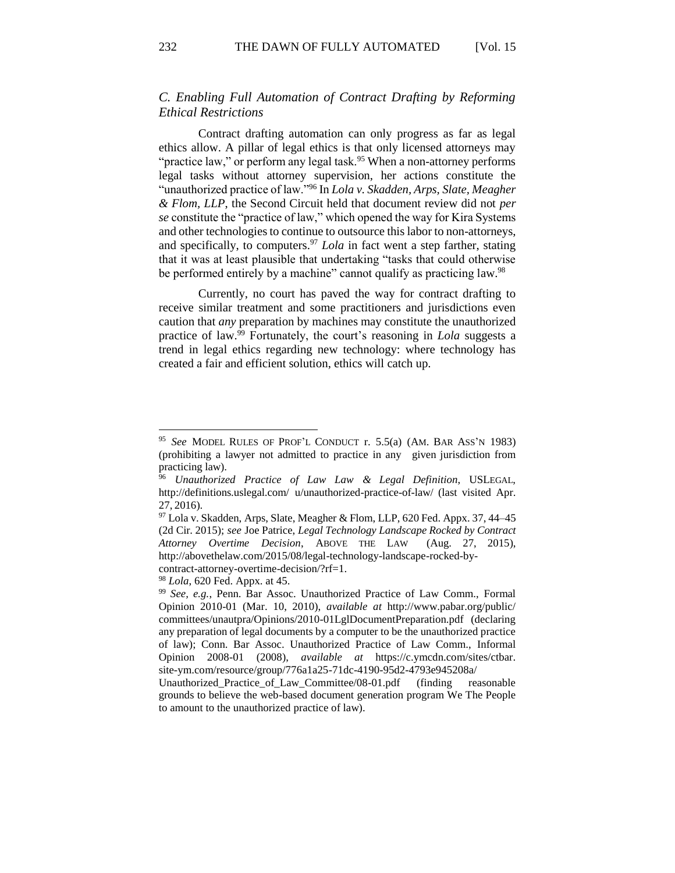# *C. Enabling Full Automation of Contract Drafting by Reforming Ethical Restrictions*

Contract drafting automation can only progress as far as legal ethics allow. A pillar of legal ethics is that only licensed attorneys may "practice law," or perform any legal task.<sup>95</sup> When a non-attorney performs legal tasks without attorney supervision, her actions constitute the "unauthorized practice of law."<sup>96</sup> In *Lola v. Skadden, Arps, Slate, Meagher & Flom, LLP*, the Second Circuit held that document review did not *per se* constitute the "practice of law," which opened the way for Kira Systems and other technologies to continue to outsource this labor to non-attorneys, and specifically, to computers.<sup>97</sup> *Lola* in fact went a step farther, stating that it was at least plausible that undertaking "tasks that could otherwise be performed entirely by a machine" cannot qualify as practicing law.<sup>98</sup>

Currently, no court has paved the way for contract drafting to receive similar treatment and some practitioners and jurisdictions even caution that *any* preparation by machines may constitute the unauthorized practice of law.<sup>99</sup> Fortunately, the court's reasoning in *Lola* suggests a trend in legal ethics regarding new technology: where technology has created a fair and efficient solution, ethics will catch up.

<sup>98</sup> *Lola*, 620 Fed. Appx. at 45.

<sup>95</sup> *See* MODEL RULES OF PROF'L CONDUCT r. 5.5(a) (AM. BAR ASS'N 1983) (prohibiting a lawyer not admitted to practice in any given jurisdiction from practicing law).

<sup>96</sup> *Unauthorized Practice of Law Law & Legal Definition*, USLEGAL, http://definitions.uslegal.com/ u/unauthorized-practice-of-law/ (last visited Apr. 27, 2016).

 $97$  Lola v. Skadden, Arps, Slate, Meagher & Flom, LLP, 620 Fed. Appx. 37, 44–45 (2d Cir. 2015); *see* Joe Patrice, *Legal Technology Landscape Rocked by Contract Attorney Overtime Decision*, ABOVE THE LAW (Aug. 27, 2015), http://abovethelaw.com/2015/08/legal-technology-landscape-rocked-bycontract-attorney-overtime-decision/?rf=1.

<sup>99</sup> *See, e.g.*, Penn. Bar Assoc. Unauthorized Practice of Law Comm., Formal Opinion 2010-01 (Mar. 10, 2010), *available at* http://www.pabar.org/public/ committees/unautpra/Opinions/2010-01LglDocumentPreparation.pdf (declaring any preparation of legal documents by a computer to be the unauthorized practice of law); Conn. Bar Assoc. Unauthorized Practice of Law Comm., Informal Opinion 2008-01 (2008), *available at* https://c.ymcdn.com/sites/ctbar. site-ym.com/resource/group/776a1a25-71dc-4190-95d2-4793e945208a/

Unauthorized\_Practice\_of\_Law\_Committee/08-01.pdf (finding reasonable grounds to believe the web-based document generation program We The People to amount to the unauthorized practice of law).